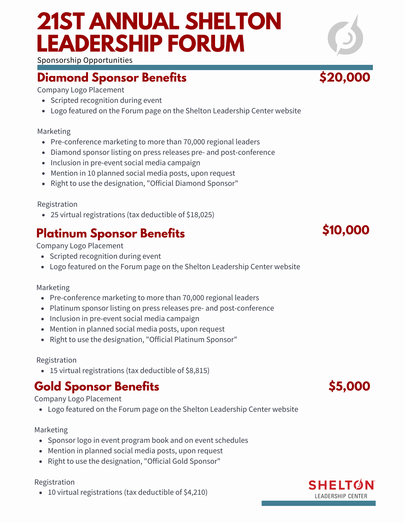## **21ST ANNUAL SHELTON LEADERSHIP FORUM**

Sponsorship Opportunities

## **Diamond Sponsor Benefits**

Company Logo Placement

- Scripted recognition during event
- Logo featured on the Forum page on the Shelton Leadership Center website

#### Marketing

- Pre-conference marketing to more than 70,000 regional leaders
- Diamond sponsor listing on press releases pre- and post-conference
- Inclusion in pre-event social media campaign
- Mention in 10 planned social media posts, upon request
- Right to use the designation, "Official Diamond Sponsor"

#### Registration

25 virtual registrations (tax deductible of \$18,025)

### **Platinum Sponsor Benefits**

Company Logo Placement

- Scripted recognition during event
- Logo featured on the Forum page on the Shelton Leadership Center website

#### Marketing

- Pre-conference marketing to more than 70,000 regional leaders
- Platinum sponsor listing on press releases pre- and post-conference
- Inclusion in pre-event social media campaign
- Mention in planned social media posts, upon request
- Right to use the designation, "Official Platinum Sponsor"

#### Registration

15 virtual registrations (tax deductible of \$8,815)

## **Gold Sponsor Benefits**

#### Company Logo Placement

Logo featured on the Forum page on the Shelton Leadership Center website

#### Marketing

- Sponsor logo in event program book and on event schedules
- Mention in planned social media posts, upon request
- Right to use the designation, "Official Gold Sponsor"

#### Registration

10 virtual registrations (tax deductible of \$4,210)

# **\$10,000**

## **\$5,000**





**\$20,000**